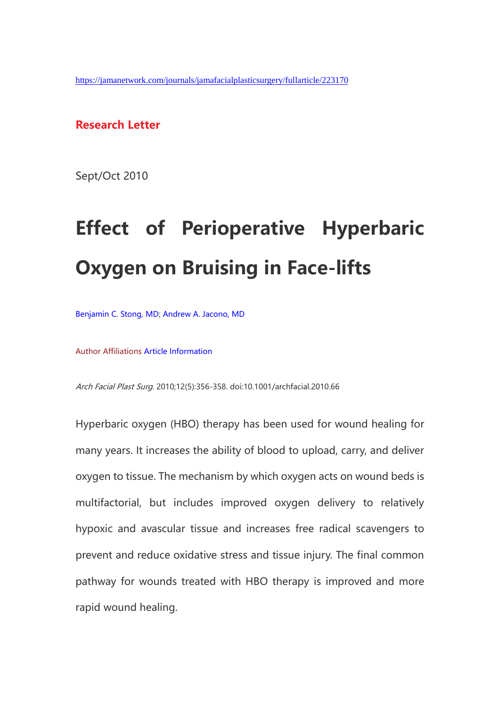#### **Research Letter**

Sept/Oct 2010

# **Effect of Perioperative Hyperbaric Oxygen on Bruising in Face-lifts**

[Benjamin C. Stong, MD;](https://jamanetwork.com/searchresults?author=Benjamin+C.+Stong&q=Benjamin+C.+Stong) [Andrew A. Jacono, MD](https://jamanetwork.com/searchresults?author=Andrew+A.+Jacono&q=Andrew+A.+Jacono)

Author Affiliations [Article Information](https://jamanetwork.com/journals/jamafacialplasticsurgery/fullarticle/223170#32566829)

Arch Facial Plast Surg. 2010;12(5):356-358. doi:10.1001/archfacial.2010.66

Hyperbaric oxygen (HBO) therapy has been used for wound healing for many years. It increases the ability of blood to upload, carry, and deliver oxygen to tissue. The mechanism by which oxygen acts on wound beds is multifactorial, but includes improved oxygen delivery to relatively hypoxic and avascular tissue and increases free radical scavengers to prevent and reduce oxidative stress and tissue injury. The final common pathway for wounds treated with HBO therapy is improved and more rapid wound healing.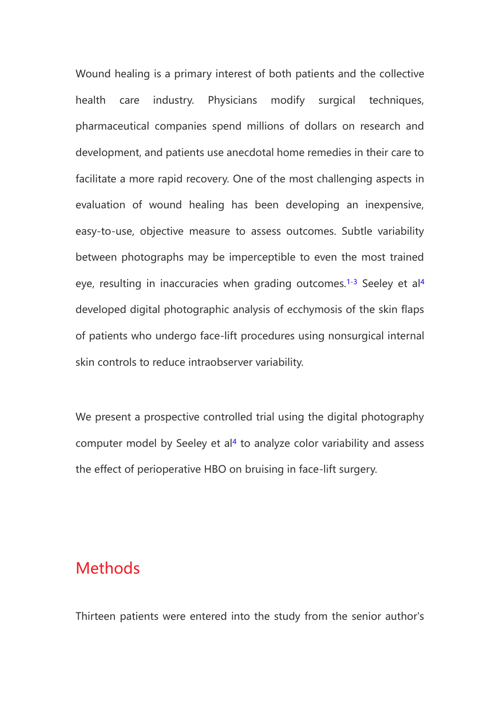Wound healing is a primary interest of both patients and the collective health care industry. Physicians modify surgical techniques, pharmaceutical companies spend millions of dollars on research and development, and patients use anecdotal home remedies in their care to facilitate a more rapid recovery. One of the most challenging aspects in evaluation of wound healing has been developing an inexpensive, easy-to-use, objective measure to assess outcomes. Subtle variability between photographs may be imperceptible to even the most trained eye, resulting in inaccuracies when grading outcomes.<sup>[1-3](https://jamanetwork.com/journals/jamafacialplasticsurgery/fullarticle/223170#ref-qld05002-1)</sup> Seeley et al<sup>[4](https://jamanetwork.com/journals/jamafacialplasticsurgery/fullarticle/223170#ref-qld05002-4)</sup> developed digital photographic analysis of ecchymosis of the skin flaps of patients who undergo face-lift procedures using nonsurgical internal skin controls to reduce intraobserver variability.

We present a prospective controlled trial using the digital photography computer model by Seeley et al<sup>[4](https://jamanetwork.com/journals/jamafacialplasticsurgery/fullarticle/223170#ref-qld05002-4)</sup> to analyze color variability and assess the effect of perioperative HBO on bruising in face-lift surgery.

# **Methods**

Thirteen patients were entered into the study from the senior author's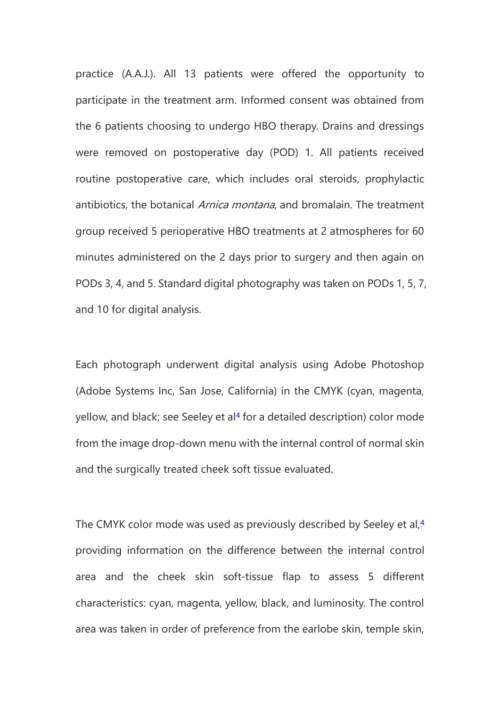practice (A.A.J.). All 13 patients were offered the opportunity to participate in the treatment arm. Informed consent was obtained from the 6 patients choosing to undergo HBO therapy. Drains and dressings were removed on postoperative day (POD) 1. All patients received routine postoperative care, which includes oral steroids, prophylactic antibiotics, the botanical *Arnica montana*, and bromalain. The treatment group received 5 perioperative HBO treatments at 2 atmospheres for 60 minutes administered on the 2 days prior to surgery and then again on PODs 3, 4, and 5. Standard digital photography was taken on PODs 1, 5, 7, and 10 for digital analysis.

Each photograph underwent digital analysis using Adobe Photoshop (Adobe Systems Inc, San Jose, California) in the CMYK (cyan, magenta, yellow, and black; see Seeley et al<sup>[4](https://jamanetwork.com/journals/jamafacialplasticsurgery/fullarticle/223170#ref-qld05002-4)</sup> for a detailed description) color mode from the image drop-down menu with the internal control of normal skin and the surgically treated cheek soft tissue evaluated.

The CMYK color mode was used as previously described by Seeley et al,<sup>[4](https://jamanetwork.com/journals/jamafacialplasticsurgery/fullarticle/223170#ref-qld05002-4)</sup> providing information on the difference between the internal control area and the cheek skin soft-tissue flap to assess 5 different characteristics: cyan, magenta, yellow, black, and luminosity. The control area was taken in order of preference from the earlobe skin, temple skin,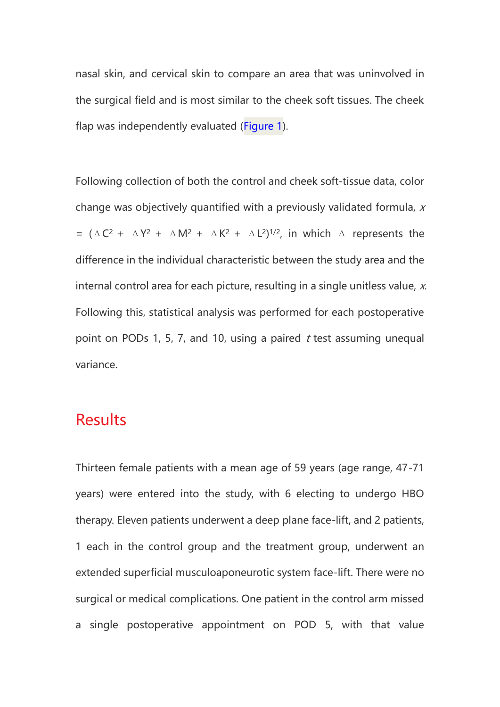nasal skin, and cervical skin to compare an area that was uninvolved in the surgical field and is most similar to the cheek soft tissues. The cheek flap was independently evaluated [\(Figure 1\)](https://jamanetwork.com/journals/jamafacialplasticsurgery/fullarticle/223170#qld05002f1).

Following collection of both the control and cheek soft-tissue data, color change was objectively quantified with a previously validated formula, <sup>x</sup> =  $(\triangle C^2 + \triangle Y^2 + \triangle M^2 + \triangle K^2 + \triangle L^2)^{1/2}$ , in which  $\triangle$  represents the difference in the individual characteristic between the study area and the internal control area for each picture, resulting in a single unitless value,  $x$ . Following this, statistical analysis was performed for each postoperative point on PODs 1, 5, 7, and 10, using a paired  $t$  test assuming unequal variance.

### **Results**

Thirteen female patients with a mean age of 59 years (age range, 47-71 years) were entered into the study, with 6 electing to undergo HBO therapy. Eleven patients underwent a deep plane face-lift, and 2 patients, 1 each in the control group and the treatment group, underwent an extended superficial musculoaponeurotic system face-lift. There were no surgical or medical complications. One patient in the control arm missed a single postoperative appointment on POD 5, with that value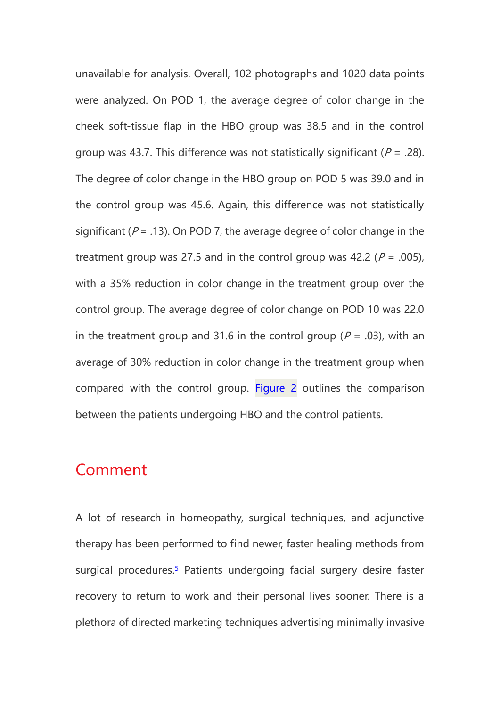unavailable for analysis. Overall, 102 photographs and 1020 data points were analyzed. On POD 1, the average degree of color change in the cheek soft-tissue flap in the HBO group was 38.5 and in the control group was 43.7. This difference was not statistically significant ( $P = .28$ ). The degree of color change in the HBO group on POD 5 was 39.0 and in the control group was 45.6. Again, this difference was not statistically significant ( $P = .13$ ). On POD 7, the average degree of color change in the treatment group was 27.5 and in the control group was 42.2 ( $P = .005$ ), with a 35% reduction in color change in the treatment group over the control group. The average degree of color change on POD 10 was 22.0 in the treatment group and 31.6 in the control group ( $P = .03$ ), with an average of 30% reduction in color change in the treatment group when compared with the control group. [Figure 2](https://jamanetwork.com/journals/jamafacialplasticsurgery/fullarticle/223170#qld05002f2) outlines the comparison between the patients undergoing HBO and the control patients.

# Comment

A lot of research in homeopathy, surgical techniques, and adjunctive therapy has been performed to find newer, faster healing methods from surgical procedures.<sup>[5](https://jamanetwork.com/journals/jamafacialplasticsurgery/fullarticle/223170#ref-qld05002-5)</sup> Patients undergoing facial surgery desire faster recovery to return to work and their personal lives sooner. There is a plethora of directed marketing techniques advertising minimally invasive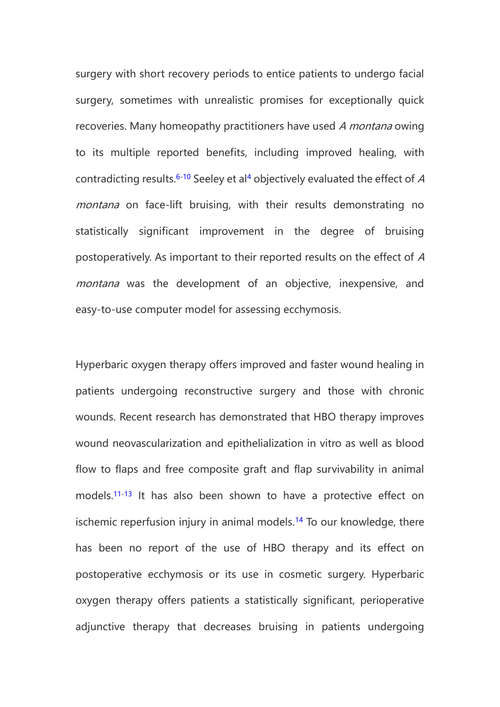surgery with short recovery periods to entice patients to undergo facial surgery, sometimes with unrealistic promises for exceptionally quick recoveries. Many homeopathy practitioners have used A montana owing to its multiple reported benefits, including improved healing, with contradicting results.<sup>[6-10](https://jamanetwork.com/journals/jamafacialplasticsurgery/fullarticle/223170#ref-qld05002-6)</sup> Seeley et al<sup>[4](https://jamanetwork.com/journals/jamafacialplasticsurgery/fullarticle/223170#ref-qld05002-4)</sup> objectively evaluated the effect of  $A$ montana on face-lift bruising, with their results demonstrating no statistically significant improvement in the degree of bruising postoperatively. As important to their reported results on the effect of A montana was the development of an objective, inexpensive, and easy-to-use computer model for assessing ecchymosis.

Hyperbaric oxygen therapy offers improved and faster wound healing in patients undergoing reconstructive surgery and those with chronic wounds. Recent research has demonstrated that HBO therapy improves wound neovascularization and epithelialization in vitro as well as blood flow to flaps and free composite graft and flap survivability in animal models.[11-13](https://jamanetwork.com/journals/jamafacialplasticsurgery/fullarticle/223170#ref-qld05002-11) It has also been shown to have a protective effect on ischemic reperfusion injury in animal models.<sup>[14](https://jamanetwork.com/journals/jamafacialplasticsurgery/fullarticle/223170#ref-qld05002-14)</sup> To our knowledge, there has been no report of the use of HBO therapy and its effect on postoperative ecchymosis or its use in cosmetic surgery. Hyperbaric oxygen therapy offers patients a statistically significant, perioperative adjunctive therapy that decreases bruising in patients undergoing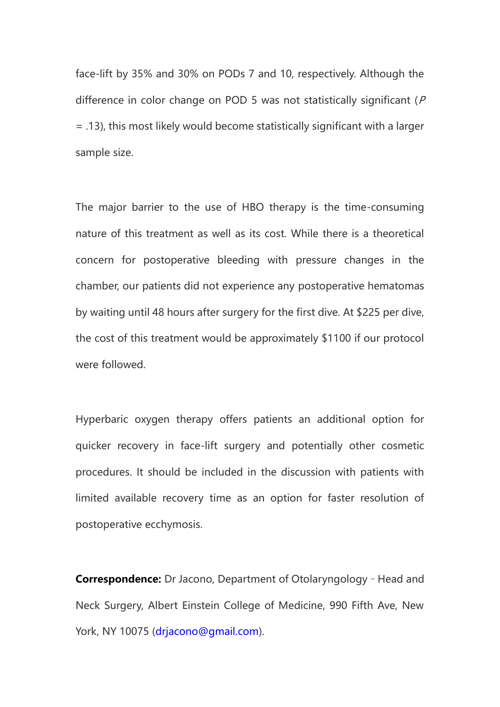face-lift by 35% and 30% on PODs 7 and 10, respectively. Although the difference in color change on POD 5 was not statistically significant (P = .13), this most likely would become statistically significant with a larger sample size.

The major barrier to the use of HBO therapy is the time-consuming nature of this treatment as well as its cost. While there is a theoretical concern for postoperative bleeding with pressure changes in the chamber, our patients did not experience any postoperative hematomas by waiting until 48 hours after surgery for the first dive. At \$225 per dive, the cost of this treatment would be approximately \$1100 if our protocol were followed.

Hyperbaric oxygen therapy offers patients an additional option for quicker recovery in face-lift surgery and potentially other cosmetic procedures. It should be included in the discussion with patients with limited available recovery time as an option for faster resolution of postoperative ecchymosis.

**Correspondence:** Dr Jacono, Department of Otolaryngology - Head and Neck Surgery, Albert Einstein College of Medicine, 990 Fifth Ave, New York, NY 10075 [\(drjacono@gmail.com\)](mailto:drjacono@gmail.com).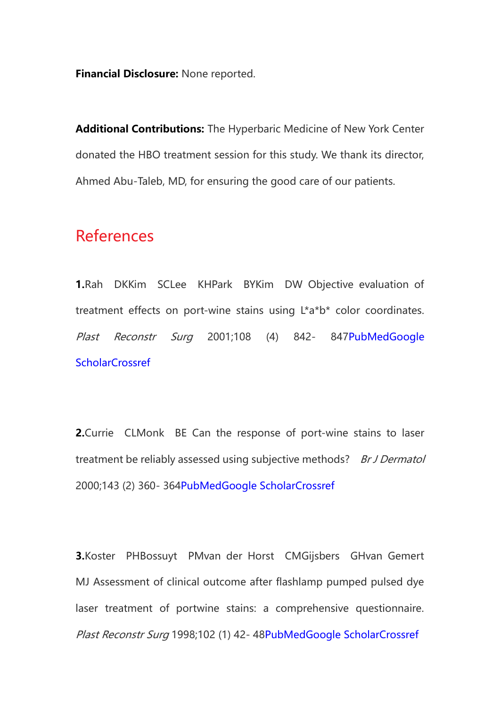**Financial Disclosure:** None reported.

**Additional Contributions:** The Hyperbaric Medicine of New York Center donated the HBO treatment session for this study. We thank its director, Ahmed Abu-Taleb, MD, for ensuring the good care of our patients.

# References

**1.**Rah DKKim SCLee KHPark BYKim DW Objective evaluation of treatment effects on port-wine stains using L\*a\*b\* color coordinates. Plast Reconstr Surg 2001;108 (4) 842- 84[7PubMed](https://www.ncbi.nlm.nih.gov/pubmed/11547137)Google **[Scholar](https://scholar.google.com/scholar_lookup?title=Objective%20evaluation%20of%20treatment%20effects%20on%20port-wine%20stains%20using%20L*a*b*%20color%20coordinates.&author=DK%20Rah&author=SC%20Kim&author=KH%20Lee&author=BY%20Park&author=DW%20Kim&publication_year=2001&journal=Plast%20Reconstr%20Surg&volume=108&pages=842-847)[Crossref](https://doi.org/10.1097/00006534-200109150-00005)** 

**2.**Currie CLMonk BE Can the response of port-wine stains to laser treatment be reliably assessed using subjective methods? Br J Dermatol 2000;143 (2) 360- 36[4PubMed](https://www.ncbi.nlm.nih.gov/pubmed/10951146)[Google Scholar](https://scholar.google.com/scholar_lookup?title=Can%20the%20response%20of%20port-wine%20stains%20to%20laser%20treatment%20be%20reliably%20assessed%20using%20subjective%20methods?&author=CL%20Currie&author=BE%20Monk&publication_year=2000&journal=Br%20J%20Dermatol&volume=143&pages=360-364)[Crossref](https://doi.org/10.1046/j.1365-2133.2000.03663.x)

**3.**Koster PHBossuyt PMvan der Horst CMGijsbers GHvan Gemert MJ Assessment of clinical outcome after flashlamp pumped pulsed dye laser treatment of portwine stains: a comprehensive questionnaire. Plast Reconstr Surg 1998;102 (1) 42- 4[8PubMed](https://www.ncbi.nlm.nih.gov/pubmed/9655406)[Google Scholar](https://scholar.google.com/scholar_lookup?title=Assessment%20of%20clinical%20outcome%20after%20flashlamp%20pumped%20pulsed%20dye%20laser%20treatment%20of%20portwine%20stains:%20a%20comprehensive%20questionnaire.&author=PH%20Koster&author=PM%20Bossuyt&author=CM%20van%20der%20Horst&author=GH%20Gijsbers&author=MJ%20van%20Gemert&publication_year=1998&journal=Plast%20Reconstr%20Surg&volume=102&pages=42-48)[Crossref](https://doi.org/10.1097/00006534-199807000-00007)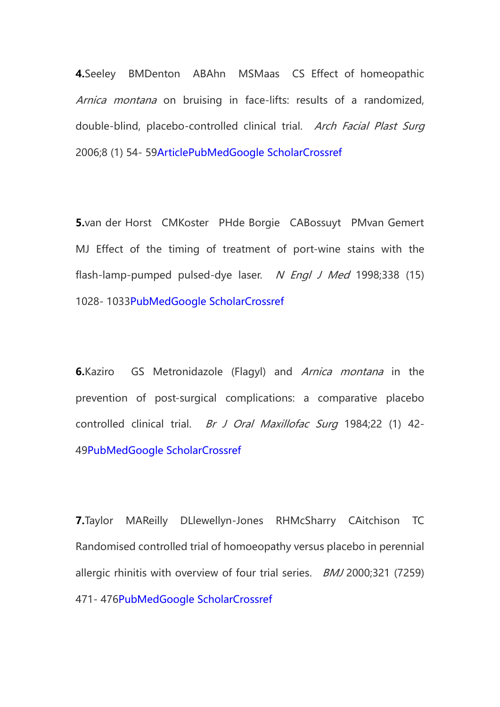**4.**Seeley BMDenton ABAhn MSMaas CS Effect of homeopathic Arnica montana on bruising in face-lifts: results of a randomized, double-blind, placebo-controlled clinical trial. Arch Facial Plast Surg 2006;8 (1) 54- 5[9Article](https://jamanetwork.com/journals/jamafacialplasticsurgery/fullarticle/480929)[PubMed](https://www.ncbi.nlm.nih.gov/pubmed/16415448)[Google Scholar](https://scholar.google.com/scholar_lookup?title=Effect%20of%20homeopathic%20Arnica%20montana%20on%20bruising%20in%20face-lifts:%20results%20of%20a%20randomized,%20double-blind,%20placebo-controlled%20clinical%20trial.&author=BM%20Seeley&author=AB%20Denton&author=MS%20Ahn&author=CS%20Maas&publication_year=2006&journal=Arch%20Facial%20Plast%20Surg&volume=8&pages=54-59)[Crossref](https://doi.org/10.1001/archfaci.8.1.54)

**5.**van der Horst CMKoster PHde Borgie CABossuyt PMvan Gemert MJ Effect of the timing of treatment of port-wine stains with the flash-lamp-pumped pulsed-dye laser. N Engl J Med 1998;338 (15) 1028- 103[3PubMed](https://www.ncbi.nlm.nih.gov/pubmed/9535667)[Google Scholar](https://scholar.google.com/scholar_lookup?title=Effect%20of%20the%20timing%20of%20treatment%20of%20port-wine%20stains%20with%20the%20flash-lamp-pumped%20pulsed-dye%20laser.&author=CM%20van%20der%20Horst&author=PH%20Koster&author=CA%20de%20Borgie&author=PM%20Bossuyt&author=MJ%20van%20Gemert&publication_year=1998&journal=N%20Engl%20J%20Med&volume=338&pages=1028-1033)[Crossref](https://doi.org/10.1056/NEJM199804093381504)

**6.**Kaziro GS Metronidazole (Flagyl) and Arnica montana in the prevention of post-surgical complications: a comparative placebo controlled clinical trial. Br J Oral Maxillofac Surg 1984;22 (1) 42-4[9PubMed](https://www.ncbi.nlm.nih.gov/pubmed/6365158)[Google Scholar](https://scholar.google.com/scholar_lookup?title=Metronidazole%20(Flagyl)%20and%20Arnica%20montana%20in%20the%20prevention%20of%20post-surgical%20complications:%20a%20comparative%20placebo%20controlled%20clinical%20trial.&author=GS%20Kaziro&publication_year=1984&journal=Br%20J%20Oral%20Maxillofac%20Surg&volume=22&pages=42-49)[Crossref](https://doi.org/10.1016/0266-4356(84)90007-X)

**7.**Taylor MAReilly DLlewellyn-Jones RHMcSharry CAitchison TC Randomised controlled trial of homoeopathy versus placebo in perennial allergic rhinitis with overview of four trial series. *BMJ* 2000;321 (7259) 471- 47[6PubMed](https://www.ncbi.nlm.nih.gov/pubmed/10948025)[Google Scholar](https://scholar.google.com/scholar_lookup?title=Randomised%20controlled%20trial%20of%20homoeopathy%20versus%20placebo%20in%20perennial%20allergic%20rhinitis%20with%20overview%20of%20four%20trial%20series.&author=MA%20Taylor&author=D%20Reilly&author=RH%20Llewellyn-Jones&author=C%20McSharry&author=TC%20Aitchison&publication_year=2000&journal=BMJ&volume=321&pages=471-476)[Crossref](https://doi.org/10.1136/bmj.321.7259.471)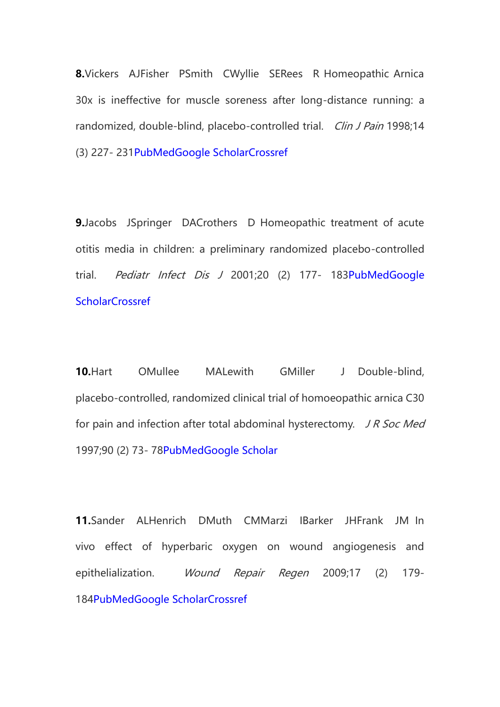**8.**Vickers AJFisher PSmith CWyllie SERees R Homeopathic Arnica 30x is ineffective for muscle soreness after long-distance running: a randomized, double-blind, placebo-controlled trial. Clin J Pain 1998;14 (3) 227- 23[1PubMed](https://www.ncbi.nlm.nih.gov/pubmed/9758072)[Google Scholar](https://scholar.google.com/scholar_lookup?title=Homeopathic%20Arnica%2030x%20is%20ineffective%20for%20muscle%20soreness%20after%20long-distance%20running:%20a%20randomized,%20double-blind,%20placebo-controlled%20trial.&author=AJ%20Vickers&author=P%20Fisher&author=C%20Smith&author=SE%20Wyllie&author=R%20Rees&publication_year=1998&journal=Clin%20J%20Pain&volume=14&pages=227-231)[Crossref](https://doi.org/10.1097/00002508-199809000-00009)

**9.**Jacobs JSpringer DACrothers D Homeopathic treatment of acute otitis media in children: a preliminary randomized placebo-controlled trial. Pediatr Infect Dis J 2001;20 (2) 177- 18[3PubMed](https://www.ncbi.nlm.nih.gov/pubmed/11224838)Google **[Scholar](https://scholar.google.com/scholar_lookup?title=Homeopathic%20treatment%20of%20acute%20otitis%20media%20in%20children:%20a%20preliminary%20randomized%20placebo-controlled%20trial.&author=J%20Jacobs&author=DA%20Springer&author=D%20Crothers&publication_year=2001&journal=Pediatr%20Infect%20Dis%20J&volume=20&pages=177-183)[Crossref](https://doi.org/10.1097/00006454-200102000-00012)** 

**10.**Hart OMullee MALewith GMiller J Double-blind, placebo-controlled, randomized clinical trial of homoeopathic arnica C30 for pain and infection after total abdominal hysterectomy. JR Soc Med 1997;90 (2) 73- 7[8PubMed](https://www.ncbi.nlm.nih.gov/pubmed/9068434)[Google Scholar](https://scholar.google.com/scholar_lookup?title=Double-blind,%20placebo-controlled,%20randomized%20clinical%20trial%20of%20homoeopathic%20arnica%20C30%20for%20pain%20and%20infection%20after%20total%20abdominal%20hysterectomy.&author=O%20Hart&author=MA%20Mullee&author=G%20Lewith&author=J%20Miller&publication_year=1997&journal=J%20R%20Soc%20Med&volume=90&pages=73-78)

**11.**Sander ALHenrich DMuth CMMarzi IBarker JHFrank JM In vivo effect of hyperbaric oxygen on wound angiogenesis and epithelialization. Wound Repair Regen 2009;17 (2) 179- 18[4PubMed](https://www.ncbi.nlm.nih.gov/pubmed/19320885)[Google Scholar](https://scholar.google.com/scholar_lookup?title=In%20vivo%20effect%20of%20hyperbaric%20oxygen%20on%20wound%20angiogenesis%20and%20epithelialization.&author=AL%20Sander&author=D%20Henrich&author=CM%20Muth&author=I%20Marzi&author=JH%20Barker&author=JM%20Frank&publication_year=2009&journal=Wound%20Repair%20Regen&volume=17&pages=179-184)[Crossref](https://doi.org/10.1111/wrr.2009.17.issue-2)